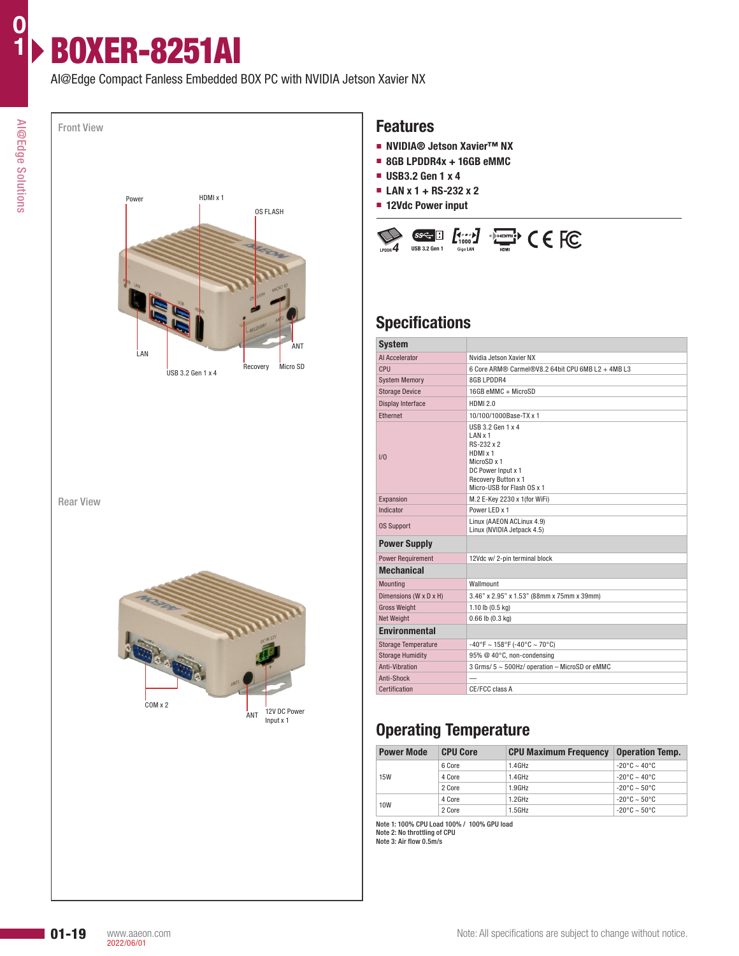AI@Edge Compact Fanless Embedded BOX PC with NVIDIA Jetson Xavier NX

BOXER-8251AI



Rear View



#### **Features**

- **NVIDIA® Jetson Xavier™ NX**
- **8GB LPDDR4x + 16GB eMMC**
- **USB3.2 Gen 1 x 4**
- **LAN x 1 + RS-232 x 2**
- **12Vdc Power input**



# **Specifications**

| <b>System</b>              |                                                                                                                                                  |  |  |  |  |  |
|----------------------------|--------------------------------------------------------------------------------------------------------------------------------------------------|--|--|--|--|--|
| Al Accelerator             | Nvidia Jetson Xavier NX                                                                                                                          |  |  |  |  |  |
| CPU                        | 6 Core ARM® Carmel®V8.2 64bit CPU 6MB L2 + 4MB L3                                                                                                |  |  |  |  |  |
| <b>System Memory</b>       | 8GB LPDDR4                                                                                                                                       |  |  |  |  |  |
| <b>Storage Device</b>      | 16GB eMMC + MicroSD                                                                                                                              |  |  |  |  |  |
| <b>Display Interface</b>   | <b>HDMI 2.0</b>                                                                                                                                  |  |  |  |  |  |
| Ethernet                   | 10/100/1000Base-TX x 1                                                                                                                           |  |  |  |  |  |
| 1/0                        | USB 3.2 Gen 1 x 4<br>LAN x 1<br>RS-232 x 2<br>HDMI x 1<br>MicroSD x 1<br>DC Power Input x 1<br>Recovery Button x 1<br>Micro-USB for Flash OS x 1 |  |  |  |  |  |
| Expansion                  | M.2 E-Key 2230 x 1(for WiFi)                                                                                                                     |  |  |  |  |  |
| Indicator                  | Power LED x 1                                                                                                                                    |  |  |  |  |  |
| <b>OS Support</b>          | Linux (AAEON ACLinux 4.9)<br>Linux (NVIDIA Jetpack 4.5)                                                                                          |  |  |  |  |  |
| <b>Power Supply</b>        |                                                                                                                                                  |  |  |  |  |  |
| <b>Power Requirement</b>   | 12Vdc w/2-pin terminal block                                                                                                                     |  |  |  |  |  |
| <b>Mechanical</b>          |                                                                                                                                                  |  |  |  |  |  |
| Mounting                   | Wallmount                                                                                                                                        |  |  |  |  |  |
| Dimensions (W x D x H)     | 3.46" x 2.95" x 1.53" (88mm x 75mm x 39mm)                                                                                                       |  |  |  |  |  |
| <b>Gross Weight</b>        | 1.10 lb $(0.5 \text{ kg})$                                                                                                                       |  |  |  |  |  |
| Net Weight                 | $0.66$ lb $(0.3$ kg)                                                                                                                             |  |  |  |  |  |
| <b>Environmental</b>       |                                                                                                                                                  |  |  |  |  |  |
| <b>Storage Temperature</b> | $-40^{\circ}$ F ~ 158°F (-40°C ~ 70°C)                                                                                                           |  |  |  |  |  |
| <b>Storage Humidity</b>    | 95% @ 40°C, non-condensing                                                                                                                       |  |  |  |  |  |
| Anti-Vibration             | 3 Grms/ 5 ~ 500Hz/ operation - MicroSD or eMMC                                                                                                   |  |  |  |  |  |
| Anti-Shock                 |                                                                                                                                                  |  |  |  |  |  |
| Certification              | CE/FCC class A                                                                                                                                   |  |  |  |  |  |

# **Operating Temperature**

| <b>Power Mode</b> | <b>CPU Core</b> | <b>CPU Maximum Frequency</b> | <b>Operation Temp.</b>              |
|-------------------|-----------------|------------------------------|-------------------------------------|
| <b>15W</b>        | 6 Core          | 1.4GHz                       | $-20^{\circ}$ C ~ 40°C              |
|                   | 4 Core          | 1.4GHz                       | $-20^{\circ}$ C $\sim 40^{\circ}$ C |
|                   | 2 Core          | $1.9$ GHz                    | $-20^{\circ}$ C $\sim$ 50°C.        |
| 10W               | 4 Core          | $1.2$ GHz                    | $-20^{\circ}$ C ~ 50°C              |
|                   | 2 Core          | 1.5GHz                       | $-20^{\circ}$ C ~ 50 °C             |

Note 1: 100% CPU Load 100% / 100% GPU load Note 2: No throttling of CPU Note 3: Air flow 0.5m/s

**0 1**